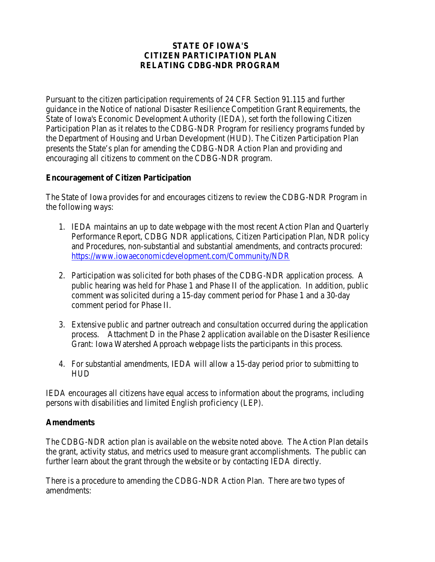### **STATE OF IOWA'S CITIZEN PARTICIPATION PLAN RELATING CDBG-NDR PROGRAM**

Pursuant to the citizen participation requirements of 24 CFR Section 91.115 and further guidance in the Notice of national Disaster Resilience Competition Grant Requirements, the State of Iowa's Economic Development Authority (IEDA), set forth the following Citizen Participation Plan as it relates to the CDBG-NDR Program for resiliency programs funded by the Department of Housing and Urban Development (HUD). The Citizen Participation Plan presents the State's plan for amending the CDBG-NDR Action Plan and providing and encouraging all citizens to comment on the CDBG-NDR program.

## **Encouragement of Citizen Participation**

The State of Iowa provides for and encourages citizens to review the CDBG-NDR Program in the following ways:

- 1. IEDA maintains an up to date webpage with the most recent Action Plan and Quarterly Performance Report, CDBG NDR applications, Citizen Participation Plan, NDR policy and Procedures, non-substantial and substantial amendments, and contracts procured: <https://www.iowaeconomicdevelopment.com/Community/NDR>
- 2. Participation was solicited for both phases of the CDBG-NDR application process. A public hearing was held for Phase 1 and Phase II of the application. In addition, public comment was solicited during a 15-day comment period for Phase 1 and a 30-day comment period for Phase II.
- 3. Extensive public and partner outreach and consultation occurred during the application process. Attachment D in the Phase 2 application available on the Disaster Resilience Grant: Iowa Watershed Approach webpage lists the participants in this process.
- 4. For substantial amendments, IEDA will allow a 15-day period prior to submitting to HUD

IEDA encourages all citizens have equal access to information about the programs, including persons with disabilities and limited English proficiency (LEP).

#### **Amendments**

The CDBG-NDR action plan is available on the website noted above. The Action Plan details the grant, activity status, and metrics used to measure grant accomplishments. The public can further learn about the grant through the website or by contacting IEDA directly.

There is a procedure to amending the CDBG-NDR Action Plan. There are two types of amendments: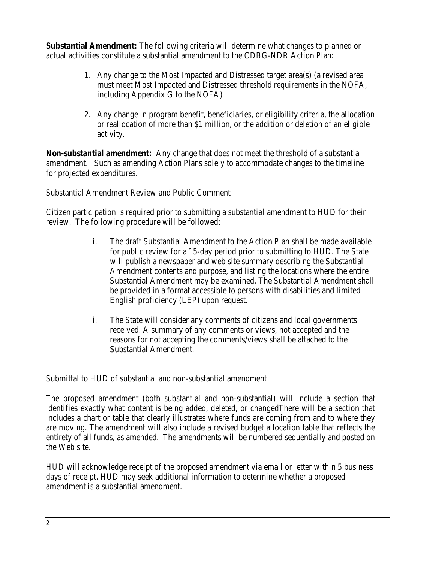**Substantial Amendment:** The following criteria will determine what changes to planned or actual activities constitute a substantial amendment to the CDBG-NDR Action Plan:

- 1. Any change to the Most Impacted and Distressed target area(s) (a revised area must meet Most Impacted and Distressed threshold requirements in the NOFA, including Appendix G to the NOFA)
- 2. Any change in program benefit, beneficiaries, or eligibility criteria, the allocation or reallocation of more than \$1 million, or the addition or deletion of an eligible activity.

**Non-substantial amendment:** Any change that does not meet the threshold of a substantial amendment. Such as amending Action Plans solely to accommodate changes to the timeline for projected expenditures.

# Substantial Amendment Review and Public Comment

Citizen participation is required prior to submitting a substantial amendment to HUD for their review. The following procedure will be followed:

- i. The draft Substantial Amendment to the Action Plan shall be made available for public review for a 15-day period prior to submitting to HUD. The State will publish a newspaper and web site summary describing the Substantial Amendment contents and purpose, and listing the locations where the entire Substantial Amendment may be examined. The Substantial Amendment shall be provided in a format accessible to persons with disabilities and limited English proficiency (LEP) upon request.
- ii. The State will consider any comments of citizens and local governments received. A summary of any comments or views, not accepted and the reasons for not accepting the comments/views shall be attached to the Substantial Amendment.

## Submittal to HUD of substantial and non-substantial amendment

The proposed amendment (both substantial and non-substantial) will include a section that identifies exactly what content is being added, deleted, or changedThere will be a section that includes a chart or table that clearly illustrates where funds are coming from and to where they are moving. The amendment will also include a revised budget allocation table that reflects the entirety of all funds, as amended. The amendments will be numbered sequentially and posted on the Web site.

HUD will acknowledge receipt of the proposed amendment via email or letter within 5 business days of receipt. HUD may seek additional information to determine whether a proposed amendment is a substantial amendment.